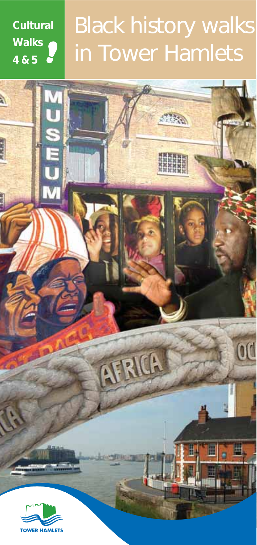**Cultural Walks 4&5**

à

网络属属

# Black history walks in Tower Hamlets

 $177.00$ 

AFRICA

od

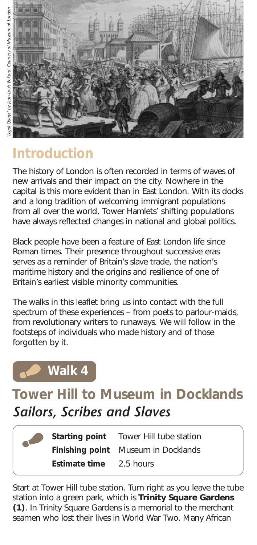

### **Introduction**

The history of London is often recorded in terms of waves of new arrivals and their impact on the city. Nowhere in the capital is this more evident than in East London. With its docks and a long tradition of welcoming immigrant populations from all over the world, Tower Hamlets' shifting populations have always reflected changes in national and global politics.

Black people have been a feature of East London life since Roman times. Their presence throughout successive eras serves as a reminder of Britain's slave trade, the nation's maritime history and the origins and resilience of one of Britain's earliest visible minority communities.

The walks in this leaflet bring us into contact with the full spectrum of these experiences – from poets to parlour-maids, from revolutionary writers to runaways. We will follow in the footsteps of individuals who made history and of those forgotten by it.

## **Walk 4**

### **Tower Hill to Museum in Docklands** *Sailors, Scribes and Slaves*

|  |               | <b>Starting point</b> Tower Hill tube station |
|--|---------------|-----------------------------------------------|
|  |               | Finishing point Museum in Docklands           |
|  | Estimate time | 2.5 hours                                     |

Start at Tower Hill tube station. Turn right as you leave the tube station into a green park, which is **Trinity Square Gardens (1)**. In Trinity Square Gardens is a memorial to the merchant seamen who lost their lives in World War Two. Many African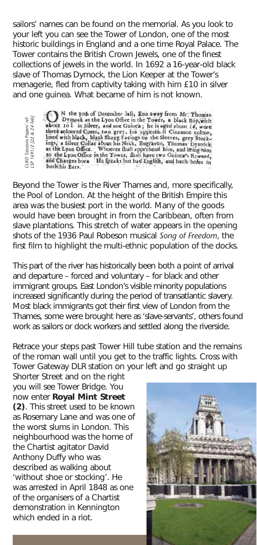sailors' names can be found on the memorial. As you look to your left you can see the Tower of London, one of the most historic buildings in England and a one time Royal Palace. The Tower contains the British Crown Jewels, one of the finest collections of jewels in the world. In 1692 a 16-year-old black slave of Thomas Dymock, the Lion Keeper at the Tower's menagerie, fled from captivity taking with him £10 in silver and one guinea. What became of him is not known.

Beyond the Tower is the River Thames and, more specifically, the Pool of London. At the height of the British Empire this area was the busiest port in the world. Many of the goods would have been brought in from the Caribbean, often from slave plantations. This stretch of water appears in the opening shots of the 1936 Paul Robeson musical *Song of Freedom*, the first film to highlight the multi-ethnic population of the docks.

This part of the river has historically been both a point of arrival and departure – forced and voluntary – for black and other immigrant groups. East London's visible minority populations increased significantly during the period of transatlantic slavery. Most black immigrants got their first view of London from the Thames, some were brought here as 'slave-servants', others found work as sailors or dock workers and settled along the riverside.

Retrace your steps past Tower Hill tube station and the remains of the roman wall until you get to the traffic lights. Cross with Tower Gateway DLR station on your left and go straight up

Shorter Street and on the right you will see Tower Bridge. You now enter **Royal Mint Street (2)**. This street used to be known as Rosemary Lane and was one of the worst slums in London. This neighbourhood was the home of the Chartist agitator David Anthony Duffy who was described as walking about 'without shoe or stocking'. He was arrested in April 1848 as one of the organisers of a Chartist demonstration in Kennington Which ended win black at the Lyon Office.<br>
Where soloned Coat<br>
which sails are which black bilance win black bilance<br>
ings a silver Collain<br>
and Charges born<br>
both his Ears.<br>
Beyond the Tower is the Lyon Office.<br>
Leo the L

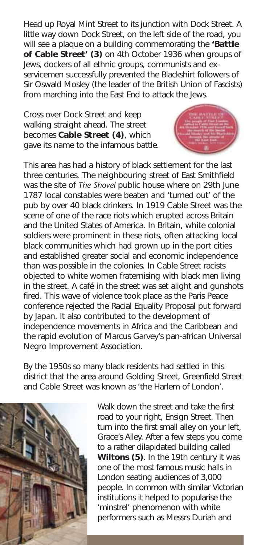Head up Royal Mint Street to its junction with Dock Street. A little way down Dock Street, on the left side of the road, you will see a plaque on a building commemorating the **'Battle of Cable Street' (3)** on 4th October 1936 when groups of Jews, dockers of all ethnic groups, communists and exservicemen successfully prevented the Blackshirt followers of Sir Oswald Mosley (the leader of the British Union of Fascists) from marching into the East End to attack the Jews.

Cross over Dock Street and keep walking straight ahead. The street becomes **Cable Street (4)**, which gave its name to the infamous battle.



This area has had a history of black settlement for the last three centuries. The neighbouring street of East Smithfield was the site of *The Shovel* public house where on 29th June 1787 local constables were beaten and 'turned out' of the pub by over 40 black drinkers. In 1919 Cable Street was the scene of one of the race riots which erupted across Britain and the United States of America. In Britain, white colonial soldiers were prominent in these riots, often attacking local black communities which had grown up in the port cities and established greater social and economic independence than was possible in the colonies. In Cable Street racists objected to white women fraternising with black men living in the street. A café in the street was set alight and gunshots fired. This wave of violence took place as the Paris Peace conference rejected the Racial Equality Proposal put forward by Japan. It also contributed to the development of independence movements in Africa and the Caribbean and the rapid evolution of Marcus Garvey's pan-african Universal Negro Improvement Association.

By the 1950s so many black residents had settled in this district that the area around Golding Street, Greenfield Street and Cable Street was known as 'the Harlem of London'.



Walk down the street and take the first road to your right, Ensign Street. Then turn into the first small alley on your left, Grace's Alley. After a few steps you come to a rather dilapidated building called **Wiltons (5)**. In the 19th century it was one of the most famous music halls in London seating audiences of 3,000 people. In common with similar Victorian institutions it helped to popularise the 'minstrel' phenomenon with white performers such as Messrs Duriah and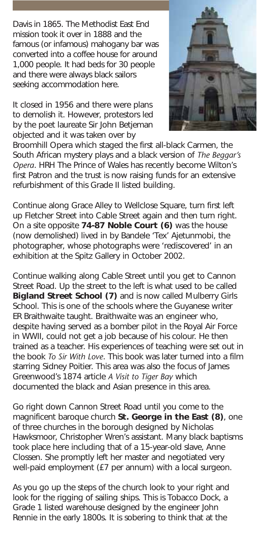Davis in 1865. The Methodist East End mission took it over in 1888 and the famous (or infamous) mahogany bar was converted into a coffee house for around 1,000 people. It had beds for 30 people and there were always black sailors seeking accommodation here.

It closed in 1956 and there were plans to demolish it. However, protestors led by the poet laureate Sir John Betjeman objected and it was taken over by



Broomhill Opera which staged the first all-black Carmen, the South African mystery plays and a black version of *The Beggar's Opera*. HRH The Prince of Wales has recently become Wilton's first Patron and the trust is now raising funds for an extensive refurbishment of this Grade II listed building.

Continue along Grace Alley to Wellclose Square, turn first left up Fletcher Street into Cable Street again and then turn right. On a site opposite **74-87 Noble Court (6)** was the house (now demolished) lived in by Bandele 'Tex' Ajetunmobi, the photographer, whose photographs were 'rediscovered' in an exhibition at the Spitz Gallery in October 2002.

Continue walking along Cable Street until you get to Cannon Street Road. Up the street to the left is what used to be called **Bigland Street School (7)** and is now called Mulberry Girls School. This is one of the schools where the Guyanese writer ER Braithwaite taught. Braithwaite was an engineer who, despite having served as a bomber pilot in the Royal Air Force in WWII, could not get a job because of his colour. He then trained as a teacher. His experiences of teaching were set out in the book *To Sir With Love*. This book was later turned into a film starring Sidney Poitier. This area was also the focus of James Greenwood's 1874 article *A Visit to Tiger Bay* which documented the black and Asian presence in this area.

Go right down Cannon Street Road until you come to the magnificent baroque church **St. George in the East (8)**, one of three churches in the borough designed by Nicholas Hawksmoor, Christopher Wren's assistant. Many black baptisms took place here including that of a 15-year-old slave, Anne Clossen. She promptly left her master and negotiated very well-paid employment (£7 per annum) with a local surgeon.

As you go up the steps of the church look to your right and look for the rigging of sailing ships. This is Tobacco Dock, a Grade 1 listed warehouse designed by the engineer John Rennie in the early 1800s. It is sobering to think that at the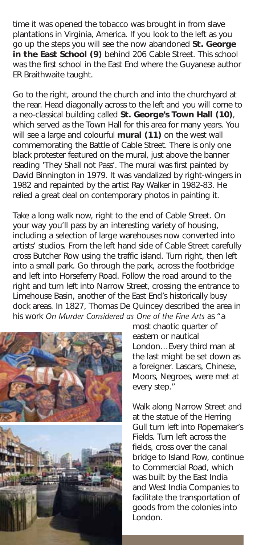time it was opened the tobacco was brought in from slave plantations in Virginia, America. If you look to the left as you go up the steps you will see the now abandoned **St. George in the East School (9)** behind 206 Cable Street. This school was the first school in the East End where the Guyanese author ER Braithwaite taught.

Go to the right, around the church and into the churchyard at the rear. Head diagonally across to the left and you will come to a neo-classical building called **St. George's Town Hall (10)**, which served as the Town Hall for this area for many years. You will see a large and colourful **mural (11)** on the west wall commemorating the Battle of Cable Street. There is only one black protester featured on the mural, just above the banner reading 'They Shall not Pass'. The mural was first painted by David Binnington in 1979. It was vandalized by right-wingers in 1982 and repainted by the artist Ray Walker in 1982-83. He relied a great deal on contemporary photos in painting it.

Take a long walk now, right to the end of Cable Street. On your way you'll pass by an interesting variety of housing, including a selection of large warehouses now converted into artists' studios. From the left hand side of Cable Street carefully cross Butcher Row using the traffic island. Turn right, then left into a small park. Go through the park, across the footbridge and left into Horseferry Road. Follow the road around to the right and turn left into Narrow Street, crossing the entrance to Limehouse Basin, another of the East End's historically busy dock areas. In 1827, Thomas De Quincey described the area in his work *On Murder Considered as One of the Fine Arts* as "a



most chaotic quarter of eastern or nautical London…Every third man at the last might be set down as a foreigner. Lascars, Chinese, Moors, Negroes, were met at every step."

Walk along Narrow Street and at the statue of the Herring Gull turn left into Ropemaker's Fields. Turn left across the fields, cross over the canal bridge to Island Row, continue to Commercial Road, which was built by the East India and West India Companies to facilitate the transportation of goods from the colonies into London.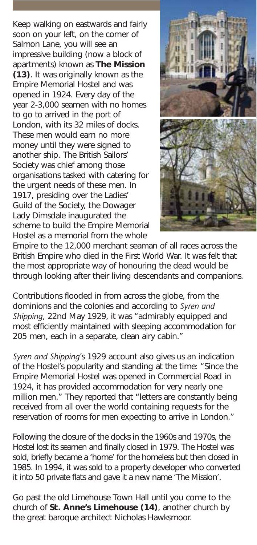Keep walking on eastwards and fairly soon on your left, on the corner of Salmon Lane, you will see an impressive building (now a block of apartments) known as **The Mission (13)**. It was originally known as the Empire Memorial Hostel and was opened in 1924. Every day of the year 2-3,000 seamen with no homes to go to arrived in the port of London, with its 32 miles of docks. These men would earn no more money until they were signed to another ship. The British Sailors' Society was chief among those organisations tasked with catering for the urgent needs of these men. In 1917, presiding over the Ladies' Guild of the Society, the Dowager Lady Dimsdale inaugurated the scheme to build the Empire Memorial Hostel as a memorial from the whole



Empire to the 12,000 merchant seaman of all races across the British Empire who died in the First World War. It was felt that the most appropriate way of honouring the dead would be through looking after their living descendants and companions.

Contributions flooded in from across the globe, from the dominions and the colonies and according to *Syren and Shipping*, 22nd May 1929, it was "admirably equipped and most efficiently maintained with sleeping accommodation for 205 men, each in a separate, clean airy cabin."

*Syren and Shipping*'s 1929 account also gives us an indication of the Hostel's popularity and standing at the time: "Since the Empire Memorial Hostel was opened in Commercial Road in 1924, it has provided accommodation for very nearly one million men." They reported that "letters are constantly being received from all over the world containing requests for the reservation of rooms for men expecting to arrive in London."

Following the closure of the docks in the 1960s and 1970s, the Hostel lost its seamen and finally closed in 1979. The Hostel was sold, briefly became a 'home' for the homeless but then closed in 1985. In 1994, it was sold to a property developer who converted it into 50 private flats and gave it a new name 'The Mission'.

Go past the old Limehouse Town Hall until you come to the church of **St. Anne's Limehouse (14)**, another church by the great baroque architect Nicholas Hawksmoor.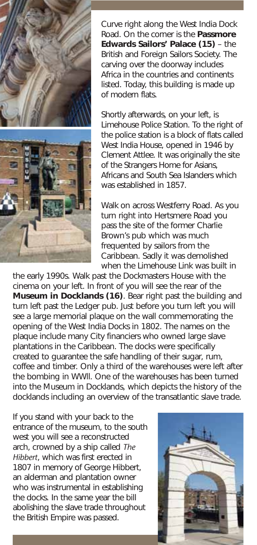



Curve right along the West India Dock Road. On the corner is the **Passmore Edwards Sailors' Palace (15)** – the British and Foreign Sailors Society. The carving over the doorway includes Africa in the countries and continents listed. Today, this building is made up of modern flats.

Shortly afterwards, on your left, is Limehouse Police Station. To the right of the police station is a block of flats called West India House, opened in 1946 by Clement Attlee. It was originally the site of the Strangers Home for Asians, Africans and South Sea Islanders which was established in 1857.

Walk on across Westferry Road. As you turn right into Hertsmere Road you pass the site of the former Charlie Brown's pub which was much frequented by sailors from the Caribbean. Sadly it was demolished when the Limehouse Link was built in

the early 1990s. Walk past the Dockmasters House with the cinema on your left. In front of you will see the rear of the **Museum in Docklands (16)**. Bear right past the building and turn left past the Ledger pub. Just before you turn left you will see a large memorial plaque on the wall commemorating the opening of the West India Docks in 1802. The names on the plaque include many City financiers who owned large slave plantations in the Caribbean. The docks were specifically created to guarantee the safe handling of their sugar, rum, coffee and timber. Only a third of the warehouses were left after the bombing in WWll. One of the warehouses has been turned into the Museum in Docklands, which depicts the history of the docklands including an overview of the transatlantic slave trade.

If you stand with your back to the entrance of the museum, to the south west you will see a reconstructed arch, crowned by a ship called *The Hibbert*, which was first erected in 1807 in memory of George Hibbert, an alderman and plantation owner who was instrumental in establishing the docks. In the same year the bill abolishing the slave trade throughout the British Empire was passed.

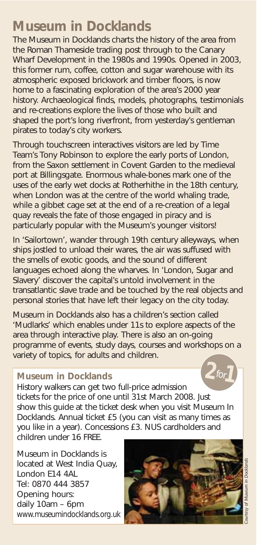### **Museum in Docklands**

The Museum in Docklands charts the history of the area from the Roman Thameside trading post through to the Canary Wharf Development in the 1980s and 1990s. Opened in 2003, this former rum, coffee, cotton and sugar warehouse with its atmospheric exposed brickwork and timber floors, is now home to a fascinating exploration of the area's 2000 year history. Archaeological finds, models, photographs, testimonials and re-creations explore the lives of those who built and shaped the port's long riverfront, from yesterday's gentleman pirates to today's city workers.

Through touchscreen interactives visitors are led by Time Team's Tony Robinson to explore the early ports of London, from the Saxon settlement in Covent Garden to the medieval port at Billingsgate. Enormous whale-bones mark one of the uses of the early wet docks at Rotherhithe in the 18th century, when London was at the centre of the world whaling trade, while a gibbet cage set at the end of a re-creation of a legal quay reveals the fate of those engaged in piracy and is particularly popular with the Museum's younger visitors!

In 'Sailortown', wander through 19th century alleyways, when ships jostled to unload their wares, the air was suffused with the smells of exotic goods, and the sound of different languages echoed along the wharves. In 'London, Sugar and Slavery' discover the capital's untold involvement in the transatlantic slave trade and be touched by the real objects and personal stories that have left their legacy on the city today.

Museum in Docklands also has a children's section called 'Mudlarks' which enables under 11s to explore aspects of the area through interactive play. There is also an on-going programme of events, study days, courses and workshops on a variety of topics, for adults and children.

#### **Museum in Docklands**

History walkers can get two full-price admission tickets for the price of one until 31st March 2008. Just show this guide at the ticket desk when you visit Museum In Docklands. Annual ticket £5 (you can visit as many times as you like in a year). Concessions £3. NUS cardholders and children under 16 FREE.  $for$   $\overline{\phantom{a}}$ 

Museum in Docklands is located at West India Quay, London E14 4AL Tel: 0870 444 3857 Opening hours: daily 10am – 6pm www.museumindocklands.org.uk



**2**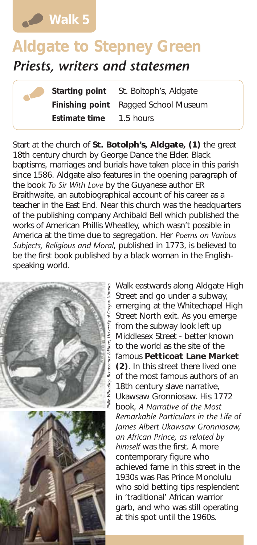

## **Aldgate to Stepney Green** *Priests, writers and statesmen*

**Starting point** St. Boltoph's, Aldgate **Finishing point** Ragged School Museum **Estimate time** 1.5 hours

Start at the church of **St. Botolph's, Aldgate, (1)** the great 18th century church by George Dance the Elder. Black baptisms, marriages and burials have taken place in this parish since 1586. Aldgate also features in the opening paragraph of the book *To Sir With Love* by the Guyanese author ER Braithwaite, an autobiographical account of his career as a teacher in the East End. Near this church was the headquarters of the publishing company Archibald Bell which published the works of American Phillis Wheatley, which wasn't possible in America at the time due to segregation. Her *Poems on Various Subjects, Religious and Moral*, published in 1773, is believed to be the first book published by a black woman in the Englishspeaking world.





Walk eastwards along Aldgate High Street and go under a subway, emerging at the Whitechapel High Street North exit. As you emerge from the subway look left up Middlesex Street - better known to the world as the site of the famous **Petticoat Lane Market (2)**. In this street there lived one of the most famous authors of an 18th century slave narrative, Ukawsaw Gronniosaw. His 1772 book, *A Narrative of the Most Remarkable Particulars in the Life of James Albert Ukawsaw Gronniosaw, an African Prince, as related by himself* was the first. A more contemporary figure who achieved fame in this street in the 1930s was Ras Prince Monolulu who sold betting tips resplendent in 'traditional' African warrior garb, and who was still operating at this spot until the 1960s.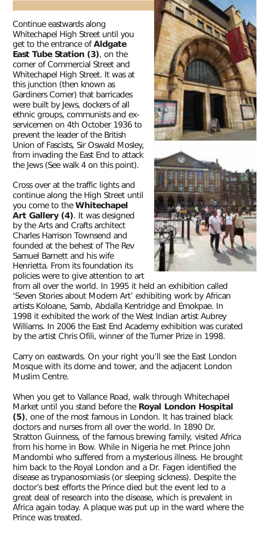Continue eastwards along Whitechapel High Street until you get to the entrance of **Aldgate East Tube Station (3)**, on the corner of Commercial Street and Whitechapel High Street. It was at this junction (then known as Gardiners Corner) that barricades were built by Jews, dockers of all ethnic groups, communists and exservicemen on 4th October 1936 to prevent the leader of the British Union of Fascists, Sir Oswald Mosley, from invading the East End to attack the Jews (See walk 4 on this point).

Cross over at the traffic lights and continue along the High Street until you come to the **Whitechapel Art Gallery (4)**. It was designed by the Arts and Crafts architect Charles Harrison Townsend and founded at the behest of The Rev Samuel Barnett and his wife Henrietta. From its foundation its policies were to give attention to art



from all over the world. In 1995 it held an exhibition called 'Seven Stories about Modern Art' exhibiting work by African artists Koloane, Samb, Abdalla Kentridge and Emokpae. In 1998 it exhibited the work of the West Indian artist Aubrey Williams. In 2006 the East End Academy exhibition was curated by the artist Chris Ofili, winner of the Turner Prize in 1998.

Carry on eastwards. On your right you'll see the East London Mosque with its dome and tower, and the adjacent London Muslim Centre.

When you get to Vallance Road, walk through Whitechapel Market until you stand before the **Royal London Hospital (5)**, one of the most famous in London. It has trained black doctors and nurses from all over the world. In 1890 Dr. Stratton Guinness, of the famous brewing family, visited Africa from his home in Bow. While in Nigeria he met Prince John Mandombi who suffered from a mysterious illness. He brought him back to the Royal London and a Dr. Fagen identified the disease as trypanosomiasis (or sleeping sickness). Despite the doctor's best efforts the Prince died but the event led to a great deal of research into the disease, which is prevalent in Africa again today. A plaque was put up in the ward where the Prince was treated.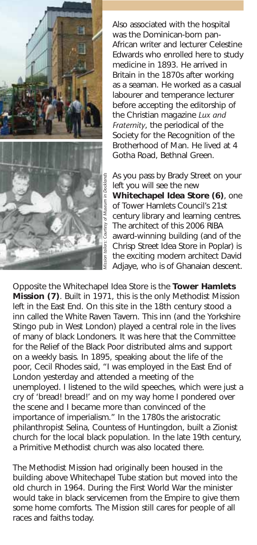

Also associated with the hospital was the Dominican-born pan-African writer and lecturer Celestine Edwards who enrolled here to study medicine in 1893. He arrived in Britain in the 1870s after working as a seaman. He worked as a casual labourer and temperance lecturer before accepting the editorship of the Christian magazine *Lux and Fraternity*, the periodical of the Society for the Recognition of the Brotherhood of Man. He lived at 4 Gotha Road, Bethnal Green.

As you pass by Brady Street on your left you will see the new **Whitechapel Idea Store (6)**, one of Tower Hamlets Council's 21st century library and learning centres. The architect of this 2006 RIBA award-winning building (and of the Chrisp Street Idea Store in Poplar) is the exciting modern architect David Adjaye, who is of Ghanaian descent.

Opposite the Whitechapel Idea Store is the **Tower Hamlets Mission (7)**. Built in 1971, this is the only Methodist Mission left in the East End. On this site in the 18th century stood a inn called the White Raven Tavern. This inn (and the Yorkshire Stingo pub in West London) played a central role in the lives of many of black Londoners. It was here that the Committee for the Relief of the Black Poor distributed alms and support on a weekly basis. In 1895, speaking about the life of the poor, Cecil Rhodes said, "I was employed in the East End of London yesterday and attended a meeting of the unemployed. I listened to the wild speeches, which were just a cry of 'bread! bread!' and on my way home I pondered over the scene and I became more than convinced of the importance of imperialism." In the 1780s the aristocratic philanthropist Selina, Countess of Huntingdon, built a Zionist church for the local black population. In the late 19th century, a Primitive Methodist church was also located there.

The Methodist Mission had originally been housed in the building above Whitechapel Tube station but moved into the old church in 1964. During the First World War the minister would take in black servicemen from the Empire to give them some home comforts. The Mission still cares for people of all races and faiths today.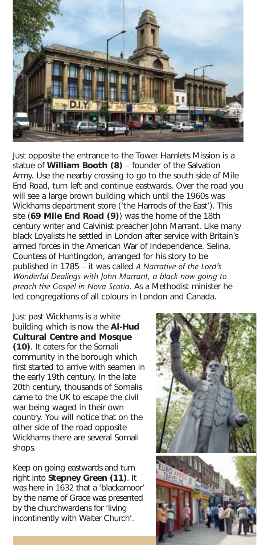

Just opposite the entrance to the Tower Hamlets Mission is a statue of **William Booth (8)** – founder of the Salvation Army. Use the nearby crossing to go to the south side of Mile End Road, turn left and continue eastwards. Over the road you will see a large brown building which until the 1960s was Wickhams department store ('the Harrods of the East'). This site (**69 Mile End Road (9)**) was the home of the 18th century writer and Calvinist preacher John Marrant. Like many black Loyalists he settled in London after service with Britain's armed forces in the American War of Independence. Selina, Countess of Huntingdon, arranged for his story to be published in 1785 – it was called *A Narrative of the Lord's Wonderful Dealings with John Marrant, a black now going to preach the Gospel in Nova Scotia*. As a Methodist minister he led congregations of all colours in London and Canada.

Just past Wickhams is a white building which is now the **Al-Hud Cultural Centre and Mosque (10)**. It caters for the Somali community in the borough which first started to arrive with seamen in the early 19th century. In the late 20th century, thousands of Somalis came to the UK to escape the civil war being waged in their own country. You will notice that on the other side of the road opposite Wickhams there are several Somali shops.

Keep on going eastwards and turn right into **Stepney Green (11)**. It was here in 1632 that a 'blackamoor' by the name of Grace was presented by the churchwardens for 'living incontinently with Walter Church'.

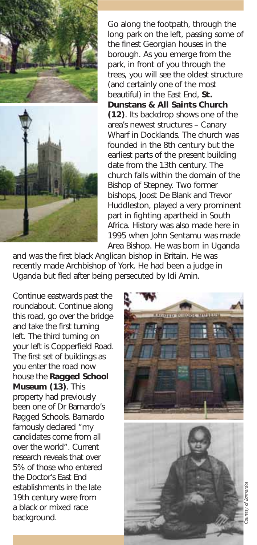



Go along the footpath, through the long park on the left, passing some of the finest Georgian houses in the borough. As you emerge from the park, in front of you through the trees, you will see the oldest structure (and certainly one of the most beautiful) in the East End, **St. Dunstans & All Saints Church (12)**. Its backdrop shows one of the area's newest structures – Canary Wharf in Docklands. The church was founded in the 8th century but the earliest parts of the present building date from the 13th century. The church falls within the domain of the Bishop of Stepney. Two former bishops, Joost De Blank and Trevor Huddleston, played a very prominent part in fighting apartheid in South Africa. History was also made here in 1995 when John Sentamu was made Area Bishop. He was born in Uganda

and was the first black Anglican bishop in Britain. He was recently made Archbishop of York. He had been a judge in Uganda but fled after being persecuted by Idi Amin.

Continue eastwards past the roundabout. Continue along this road, go over the bridge and take the first turning left. The third turning on your left is Copperfield Road. The first set of buildings as you enter the road now house the **Ragged School Museum (13)**. This property had previously been one of Dr Barnardo's Ragged Schools. Barnardo famously declared "my candidates come from all over the world". Current research reveals that over 5% of those who entered the Doctor's East End establishments in the late 19th century were from a black or mixed race background.

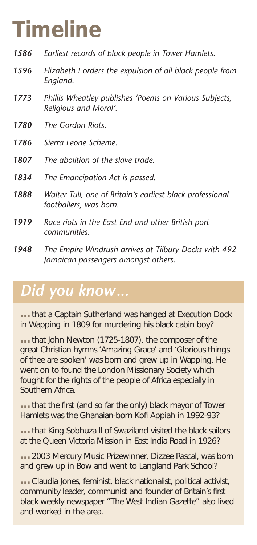# **Timeline**

- *1586 Earliest records of black people in Tower Hamlets.*
- *1596 Elizabeth I orders the expulsion of all black people from England.*
- *1773 Phillis Wheatley publishes 'Poems on Various Subjects, Religious and Moral'.*
- *1780 The Gordon Riots.*
- *1786 Sierra Leone Scheme.*
- *1807 The abolition of the slave trade.*
- *1834 The Emancipation Act is passed.*
- *1888 Walter Tull, one of Britain's earliest black professional footballers, was born.*
- *1919 Race riots in the East End and other British port communities.*
- *1948 The Empire Windrush arrives at Tilbury Docks with 492 Jamaican passengers amongst others.*

### *Did you know...*

**...**that a Captain Sutherland was hanged at Execution Dock in Wapping in 1809 for murdering his black cabin boy?

**...**that John Newton (1725-1807), the composer of the great Christian hymns 'Amazing Grace' and 'Glorious things of thee are spoken' was born and grew up in Wapping. He went on to found the London Missionary Society which fought for the rights of the people of Africa especially in Southern Africa.

**...**that the first (and so far the only) black mayor of Tower Hamlets was the Ghanaian-born Kofi Appiah in 1992-93?

**...**that King Sobhuza ll of Swaziland visited the black sailors at the Queen Victoria Mission in East India Road in 1926?

**...** 2003 Mercury Music Prizewinner, Dizzee Rascal, was born and grew up in Bow and went to Langland Park School?

**...**Claudia Jones, feminist, black nationalist, political activist, community leader, communist and founder of Britain's first black weekly newspaper "The West Indian Gazette" also lived and worked in the area.